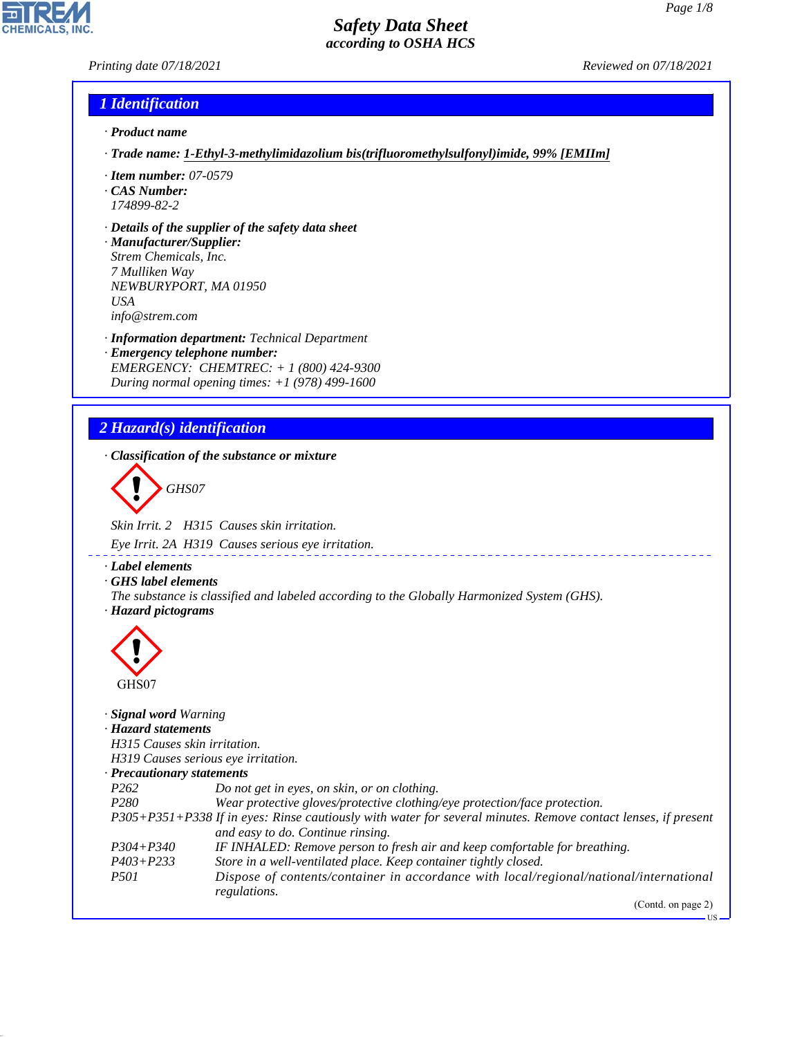*Printing date 07/18/2021 Reviewed on 07/18/2021*

**CHEMICALS, INC** 

## *1 Identification*

- *· Product name*
- *· Trade name: 1-Ethyl-3-methylimidazolium bis(trifluoromethylsulfonyl)imide, 99% [EMIIm]*
- *· Item number: 07-0579*
- *· CAS Number: 174899-82-2*
- *· Details of the supplier of the safety data sheet*
- *· Manufacturer/Supplier: Strem Chemicals, Inc. 7 Mulliken Way NEWBURYPORT, MA 01950 USA info@strem.com*
- *· Information department: Technical Department · Emergency telephone number: EMERGENCY: CHEMTREC: + 1 (800) 424-9300 During normal opening times: +1 (978) 499-1600*

# *2 Hazard(s) identification*

*· Classification of the substance or mixture*

d~*GHS07*

*Skin Irrit. 2 H315 Causes skin irritation.*

*Eye Irrit. 2A H319 Causes serious eye irritation.*

*· Label elements*

*· GHS label elements*

*The substance is classified and labeled according to the Globally Harmonized System (GHS). · Hazard pictograms*



44.1.1

| Signal word Warning              |                                                                                                               |
|----------------------------------|---------------------------------------------------------------------------------------------------------------|
| · Hazard statements              |                                                                                                               |
| H315 Causes skin irritation.     |                                                                                                               |
|                                  | H319 Causes serious eye irritation.                                                                           |
| $\cdot$ Precautionary statements |                                                                                                               |
| P <sub>262</sub>                 | Do not get in eyes, on skin, or on clothing.                                                                  |
| P <sub>280</sub>                 | Wear protective gloves/protective clothing/eye protection/face protection.                                    |
|                                  | P305+P351+P338 If in eyes: Rinse cautiously with water for several minutes. Remove contact lenses, if present |
|                                  | and easy to do. Continue rinsing.                                                                             |
| $P304 + P340$                    | IF INHALED: Remove person to fresh air and keep comfortable for breathing.                                    |
| $P403 + P233$                    | Store in a well-ventilated place. Keep container tightly closed.                                              |
| <i>P501</i>                      | Dispose of contents/container in accordance with local/regional/national/international<br>regulations.        |
|                                  | (Contd. on page 2)                                                                                            |

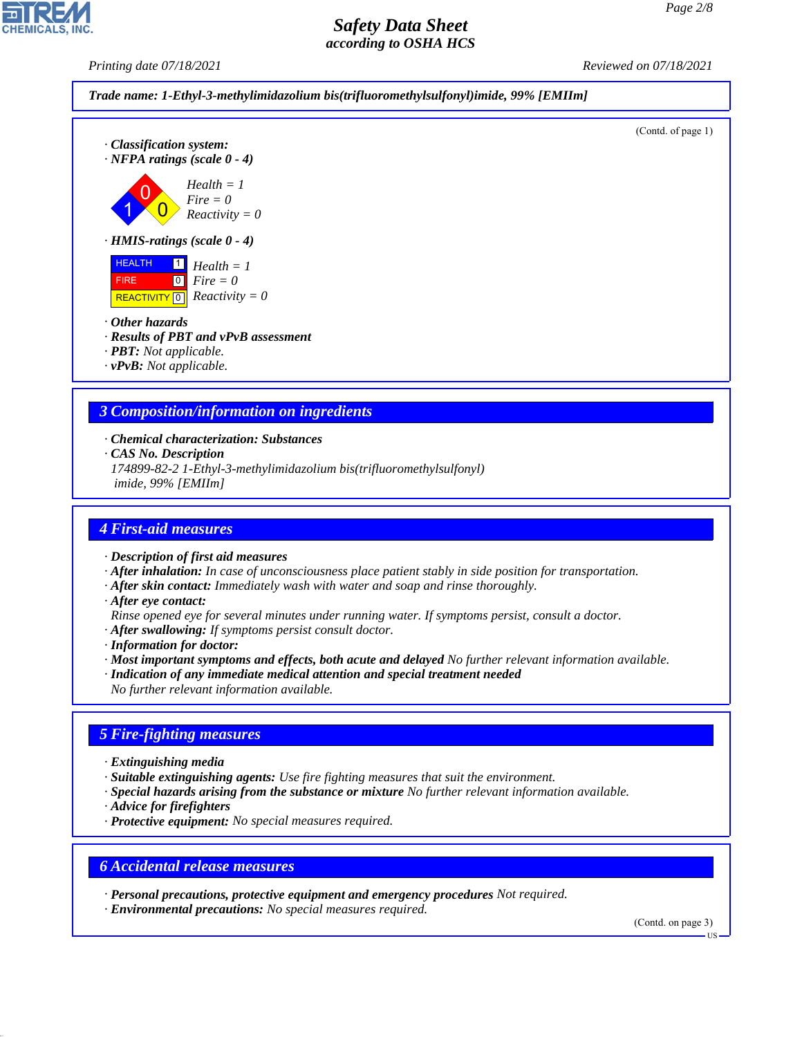*Printing date 07/18/2021 Reviewed on 07/18/2021*





 HEALTH FIRE REACTIVITY 1 0 0 *Health = 1 Fire = 0 Reactivity = 0*

*· Other hazards*

*· Results of PBT and vPvB assessment*

*· PBT: Not applicable.*

*· vPvB: Not applicable.*

# *3 Composition/information on ingredients*

*· Chemical characterization: Substances*

*· CAS No. Description*

*174899-82-2 1-Ethyl-3-methylimidazolium bis(trifluoromethylsulfonyl) imide, 99% [EMIIm]*

## *4 First-aid measures*

*· Description of first aid measures*

- *· After inhalation: In case of unconsciousness place patient stably in side position for transportation.*
- *· After skin contact: Immediately wash with water and soap and rinse thoroughly.*
- *· After eye contact:*
- *Rinse opened eye for several minutes under running water. If symptoms persist, consult a doctor.*
- *· After swallowing: If symptoms persist consult doctor.*

*· Information for doctor:*

- *· Most important symptoms and effects, both acute and delayed No further relevant information available.*
- *· Indication of any immediate medical attention and special treatment needed*
- *No further relevant information available.*

## *5 Fire-fighting measures*

*· Extinguishing media*

- *· Suitable extinguishing agents: Use fire fighting measures that suit the environment.*
- *· Special hazards arising from the substance or mixture No further relevant information available.*
- *· Advice for firefighters*

44.1.1

*· Protective equipment: No special measures required.*

## *6 Accidental release measures*

*· Personal precautions, protective equipment and emergency procedures Not required.*

*· Environmental precautions: No special measures required.*

(Contd. on page 3)

US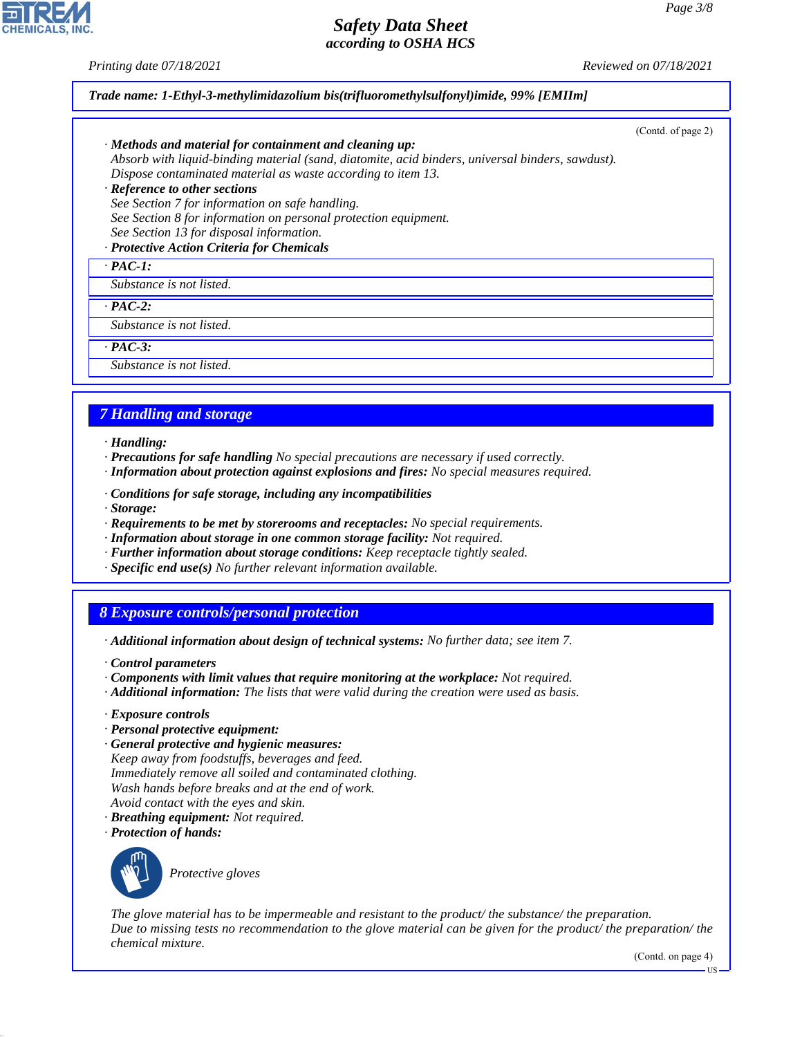*Printing date 07/18/2021 Reviewed on 07/18/2021*

### *Trade name: 1-Ethyl-3-methylimidazolium bis(trifluoromethylsulfonyl)imide, 99% [EMIIm]*

| $\cdot$ Methods and material for containment and cleaning up:<br>Absorb with liquid-binding material (sand, diatomite, acid binders, universal binders, sawdust).<br>Dispose contaminated material as waste according to item 13.<br>· Reference to other sections<br>See Section 7 for information on safe handling.<br>See Section 8 for information on personal protection equipment.<br>See Section 13 for disposal information. | (Contd. of page 2) |
|--------------------------------------------------------------------------------------------------------------------------------------------------------------------------------------------------------------------------------------------------------------------------------------------------------------------------------------------------------------------------------------------------------------------------------------|--------------------|
| · Protective Action Criteria for Chemicals<br>$\cdot$ PAC-1:                                                                                                                                                                                                                                                                                                                                                                         |                    |
| Substance is not listed.                                                                                                                                                                                                                                                                                                                                                                                                             |                    |
| $\cdot$ PAC-2:                                                                                                                                                                                                                                                                                                                                                                                                                       |                    |
| Substance is not listed.                                                                                                                                                                                                                                                                                                                                                                                                             |                    |
| $\cdot$ PAC-3:                                                                                                                                                                                                                                                                                                                                                                                                                       |                    |
| Substance is not listed.                                                                                                                                                                                                                                                                                                                                                                                                             |                    |

## *7 Handling and storage*

- *· Handling:*
- *· Precautions for safe handling No special precautions are necessary if used correctly.*
- *· Information about protection against explosions and fires: No special measures required.*
- *· Conditions for safe storage, including any incompatibilities*
- *· Storage:*
- *· Requirements to be met by storerooms and receptacles: No special requirements.*
- *· Information about storage in one common storage facility: Not required.*
- *· Further information about storage conditions: Keep receptacle tightly sealed.*
- *· Specific end use(s) No further relevant information available.*

## *8 Exposure controls/personal protection*

- *· Additional information about design of technical systems: No further data; see item 7.*
- *· Control parameters*
- *· Components with limit values that require monitoring at the workplace: Not required.*
- *· Additional information: The lists that were valid during the creation were used as basis.*
- *· Exposure controls*
- *· Personal protective equipment:*
- *· General protective and hygienic measures: Keep away from foodstuffs, beverages and feed. Immediately remove all soiled and contaminated clothing. Wash hands before breaks and at the end of work. Avoid contact with the eyes and skin.*
- *· Breathing equipment: Not required.*
- *· Protection of hands:*



44.1.1

\_S*Protective gloves*

*The glove material has to be impermeable and resistant to the product/ the substance/ the preparation. Due to missing tests no recommendation to the glove material can be given for the product/ the preparation/ the chemical mixture.*

(Contd. on page 4)

US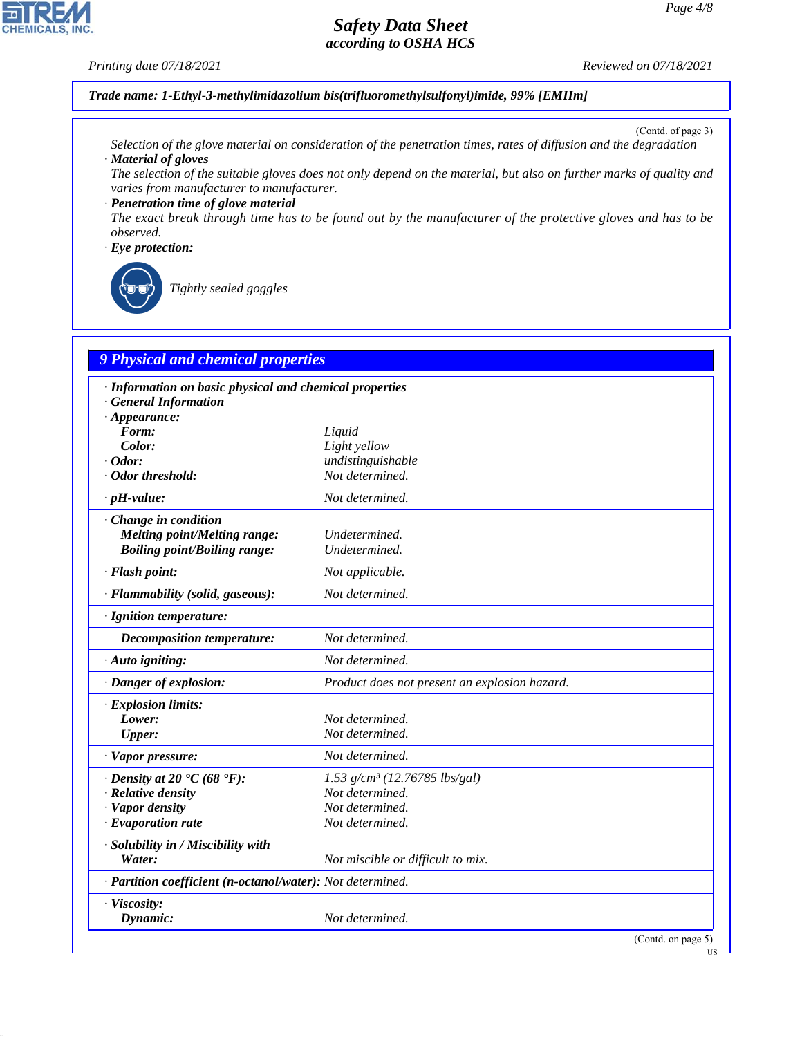### *Printing date 07/18/2021 Reviewed on 07/18/2021*

*Trade name: 1-Ethyl-3-methylimidazolium bis(trifluoromethylsulfonyl)imide, 99% [EMIIm]*

(Contd. of page 3)

- *Selection of the glove material on consideration of the penetration times, rates of diffusion and the degradation · Material of gloves*
- *The selection of the suitable gloves does not only depend on the material, but also on further marks of quality and varies from manufacturer to manufacturer.*

*· Penetration time of glove material The exact break through time has to be found out by the manufacturer of the protective gloves and has to be observed.*

#### *· Eye protection:*



\_R*Tightly sealed goggles*

# *9 Physical and chemical properties*

| · Information on basic physical and chemical properties    |                                               |  |  |  |
|------------------------------------------------------------|-----------------------------------------------|--|--|--|
| <b>General Information</b>                                 |                                               |  |  |  |
| $\cdot$ Appearance:                                        |                                               |  |  |  |
| Form:                                                      | Liquid                                        |  |  |  |
| Color:                                                     | Light yellow                                  |  |  |  |
| $\cdot$ Odor:                                              | undistinguishable                             |  |  |  |
| · Odor threshold:                                          | Not determined.                               |  |  |  |
| $\cdot$ pH-value:                                          | Not determined.                               |  |  |  |
| Change in condition                                        |                                               |  |  |  |
| Melting point/Melting range:                               | Undetermined.                                 |  |  |  |
| <b>Boiling point/Boiling range:</b>                        | Undetermined.                                 |  |  |  |
| · Flash point:                                             | Not applicable.                               |  |  |  |
| · Flammability (solid, gaseous):                           | Not determined.                               |  |  |  |
| · Ignition temperature:                                    |                                               |  |  |  |
| Decomposition temperature:                                 | Not determined.                               |  |  |  |
| $\cdot$ Auto igniting:                                     | Not determined.                               |  |  |  |
| · Danger of explosion:                                     | Product does not present an explosion hazard. |  |  |  |
| · Explosion limits:                                        |                                               |  |  |  |
| Lower:                                                     | Not determined.                               |  |  |  |
| <b>Upper:</b>                                              | Not determined.                               |  |  |  |
| · Vapor pressure:                                          | Not determined.                               |  |  |  |
| $\cdot$ Density at 20 $\cdot$ C (68 $\cdot$ F):            | 1.53 $g/cm^3$ (12.76785 lbs/gal)              |  |  |  |
| $\cdot$ Relative density                                   | Not determined.                               |  |  |  |
| · Vapor density                                            | Not determined.                               |  |  |  |
| $\cdot$ Evaporation rate                                   | Not determined.                               |  |  |  |
| · Solubility in / Miscibility with                         |                                               |  |  |  |
| Water:                                                     | Not miscible or difficult to mix.             |  |  |  |
| · Partition coefficient (n-octanol/water): Not determined. |                                               |  |  |  |
| · Viscosity:                                               |                                               |  |  |  |
| Dynamic:                                                   | Not determined.                               |  |  |  |
|                                                            | (Contd. on page 5)                            |  |  |  |



44.1.1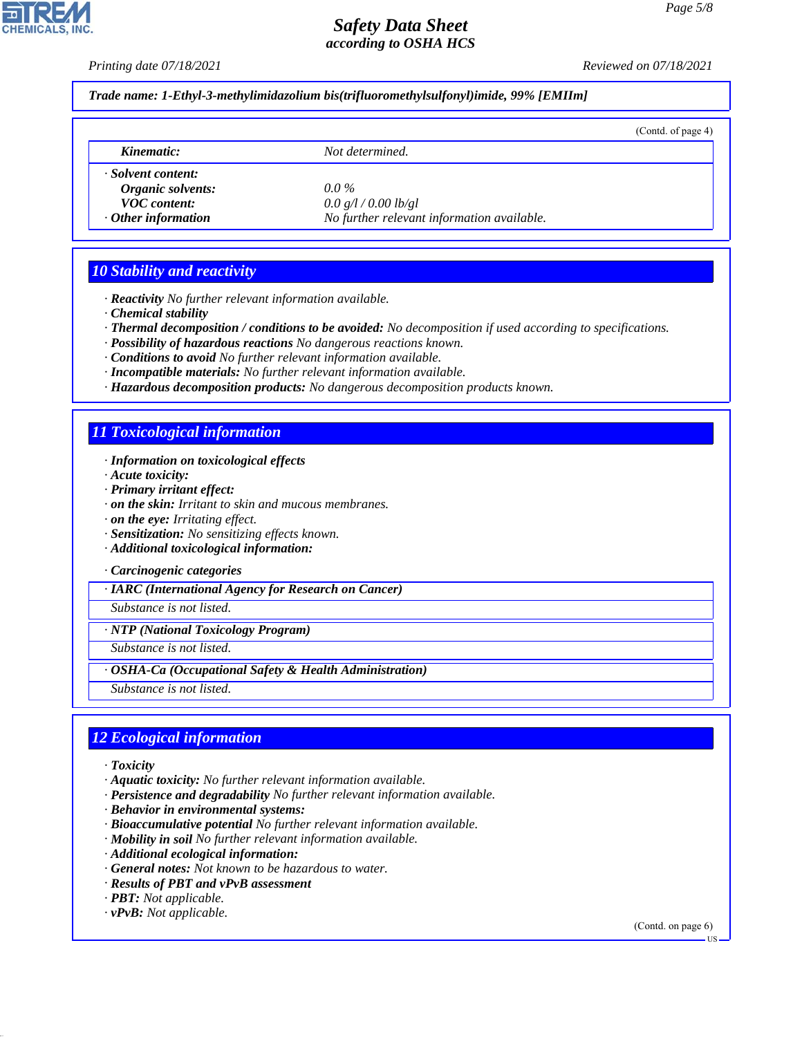**CHEMICALS, INC** 

*Printing date 07/18/2021 Reviewed on 07/18/2021*

*Trade name: 1-Ethyl-3-methylimidazolium bis(trifluoromethylsulfonyl)imide, 99% [EMIIm]*

|                           |                                            | (Cond. of page 4) |
|---------------------------|--------------------------------------------|-------------------|
| Kinematic:                | Not determined.                            |                   |
| · Solvent content:        |                                            |                   |
| Organic solvents:         | $0.0\%$                                    |                   |
| <b>VOC</b> content:       | 0.0 g/l / 0.00 lb/gl                       |                   |
| $\cdot$ Other information | No further relevant information available. |                   |

## *10 Stability and reactivity*

- *· Reactivity No further relevant information available.*
- *· Chemical stability*
- *· Thermal decomposition / conditions to be avoided: No decomposition if used according to specifications.*
- *· Possibility of hazardous reactions No dangerous reactions known.*
- *· Conditions to avoid No further relevant information available.*
- *· Incompatible materials: No further relevant information available.*
- *· Hazardous decomposition products: No dangerous decomposition products known.*

## *11 Toxicological information*

- *· Information on toxicological effects*
- *· Acute toxicity:*
- *· Primary irritant effect:*
- *· on the skin: Irritant to skin and mucous membranes.*
- *· on the eye: Irritating effect.*
- *· Sensitization: No sensitizing effects known.*
- *· Additional toxicological information:*
- *· Carcinogenic categories*

*· IARC (International Agency for Research on Cancer)*

*Substance is not listed.*

*· NTP (National Toxicology Program)*

*Substance is not listed.*

- *· OSHA-Ca (Occupational Safety & Health Administration)*
- *Substance is not listed.*

## *12 Ecological information*

*· Toxicity*

44.1.1

- *· Aquatic toxicity: No further relevant information available.*
- *· Persistence and degradability No further relevant information available.*
- *· Behavior in environmental systems:*
- *· Bioaccumulative potential No further relevant information available.*
- *· Mobility in soil No further relevant information available.*
- *· Additional ecological information:*
- *· General notes: Not known to be hazardous to water.*
- *· Results of PBT and vPvB assessment*
- *· PBT: Not applicable.*
- *· vPvB: Not applicable.*

(Contd. on page 6)

US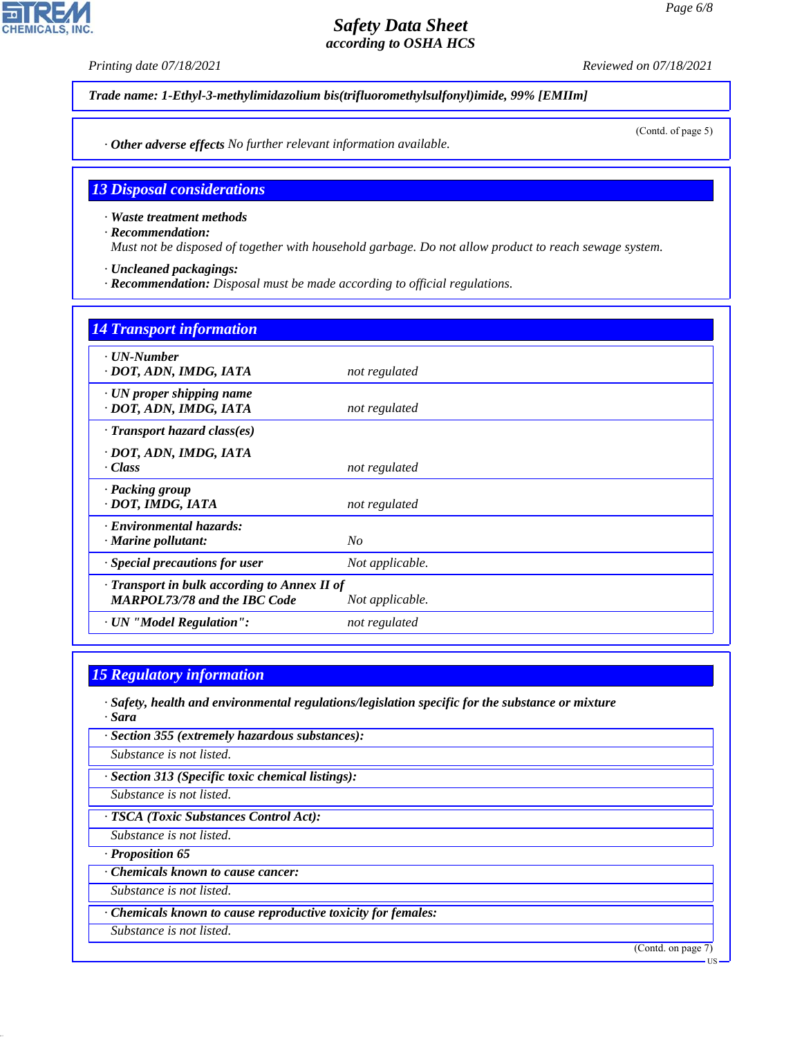**CHEMICALS.** 

*Printing date 07/18/2021 Reviewed on 07/18/2021*

*Trade name: 1-Ethyl-3-methylimidazolium bis(trifluoromethylsulfonyl)imide, 99% [EMIIm]*

(Contd. of page 5)

*· Other adverse effects No further relevant information available.*

### *13 Disposal considerations*

*· Waste treatment methods*

*· Recommendation:*

*Must not be disposed of together with household garbage. Do not allow product to reach sewage system.*

- *· Uncleaned packagings:*
- *· Recommendation: Disposal must be made according to official regulations.*

# *14 Transport information · UN-Number · DOT, ADN, IMDG, IATA not regulated · UN proper shipping name · DOT, ADN, IMDG, IATA not regulated · Transport hazard class(es) · DOT, ADN, IMDG, IATA · Class not regulated · Packing group · DOT, IMDG, IATA not regulated · Environmental hazards: · Marine pollutant: No · Special precautions for user Not applicable. · Transport in bulk according to Annex II of MARPOL73/78 and the IBC Code Not applicable. · UN "Model Regulation": not regulated*

## *15 Regulatory information*

- *· Safety, health and environmental regulations/legislation specific for the substance or mixture · Sara*
- *· Section 355 (extremely hazardous substances):*

*Substance is not listed.*

*· Section 313 (Specific toxic chemical listings):*

*Substance is not listed.*

*· TSCA (Toxic Substances Control Act):*

*Substance is not listed.*

*· Proposition 65*

44.1.1

*· Chemicals known to cause cancer:*

*Substance is not listed.*

*· Chemicals known to cause reproductive toxicity for females:*

*Substance is not listed.*

(Contd. on page 7)

US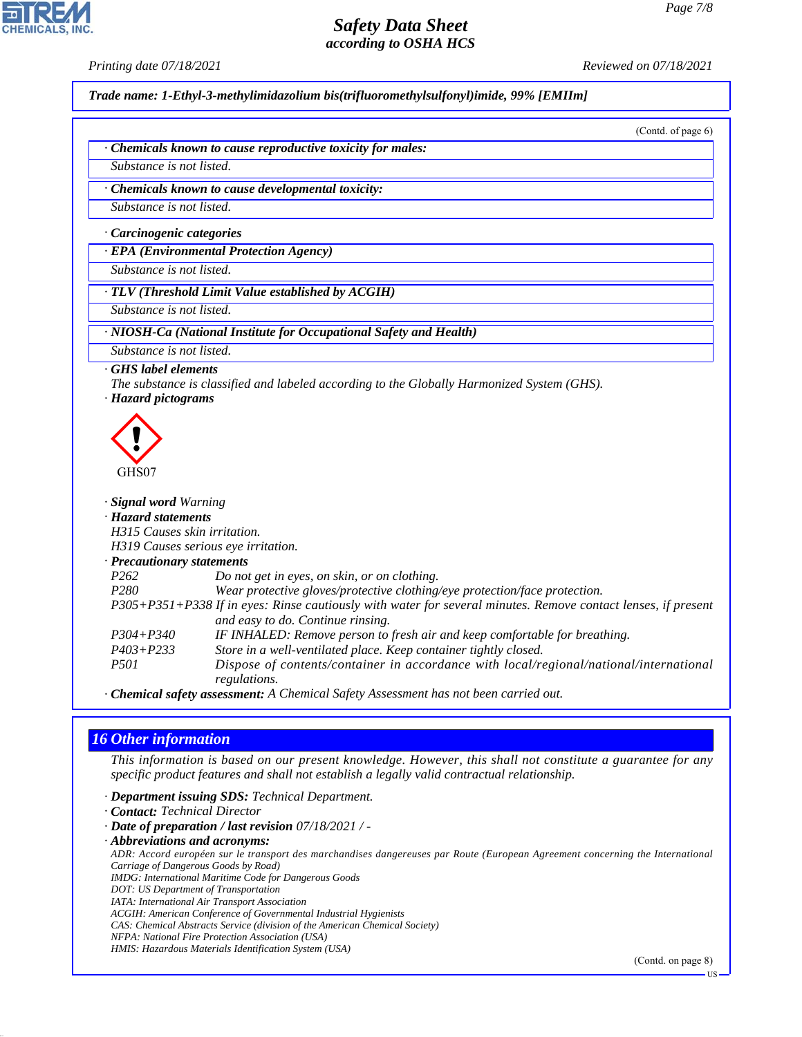**CHEMICALS** 

*Printing date 07/18/2021 Reviewed on 07/18/2021*

*Trade name: 1-Ethyl-3-methylimidazolium bis(trifluoromethylsulfonyl)imide, 99% [EMIIm]*

(Contd. of page 6)

*· Chemicals known to cause reproductive toxicity for males:*

*Substance is not listed.*

*· Chemicals known to cause developmental toxicity:*

*Substance is not listed.*

*· Carcinogenic categories*

*· EPA (Environmental Protection Agency)*

*Substance is not listed.*

*· TLV (Threshold Limit Value established by ACGIH)*

*Substance is not listed.*

*· NIOSH-Ca (National Institute for Occupational Safety and Health)*

*Substance is not listed.*

#### *· GHS label elements*

- *The substance is classified and labeled according to the Globally Harmonized System (GHS).*
- *· Hazard pictograms*



| · <b>Signal word</b> Warning        |                                                                                                               |
|-------------------------------------|---------------------------------------------------------------------------------------------------------------|
| · Hazard statements                 |                                                                                                               |
| H315 Causes skin irritation.        |                                                                                                               |
| H319 Causes serious eye irritation. |                                                                                                               |
| $\cdot$ Precautionary statements    |                                                                                                               |
| P <sub>262</sub>                    | Do not get in eyes, on skin, or on clothing.                                                                  |
| P <sub>280</sub>                    | Wear protective gloves/protective clothing/eye protection/face protection.                                    |
|                                     | P305+P351+P338 If in eyes: Rinse cautiously with water for several minutes. Remove contact lenses, if present |
|                                     | and easy to do. Continue rinsing.                                                                             |
| $P304 + P340$                       | IF INHALED: Remove person to fresh air and keep comfortable for breathing.                                    |
| $P403 + P233$                       | Store in a well-ventilated place. Keep container tightly closed.                                              |
| <i>P501</i>                         | Dispose of contents/container in accordance with local/regional/national/international                        |
|                                     | regulations.                                                                                                  |

*· Chemical safety assessment: A Chemical Safety Assessment has not been carried out.*

## *16 Other information*

44.1.1

*This information is based on our present knowledge. However, this shall not constitute a guarantee for any specific product features and shall not establish a legally valid contractual relationship.*

*· Department issuing SDS: Technical Department.*

*· Contact: Technical Director*

- *· Date of preparation / last revision 07/18/2021 / -*
- *· Abbreviations and acronyms: ADR: Accord européen sur le transport des marchandises dangereuses par Route (European Agreement concerning the International Carriage of Dangerous Goods by Road)*

*IMDG: International Maritime Code for Dangerous Goods*

*DOT: US Department of Transportation*

*IATA: International Air Transport Association*

*ACGIH: American Conference of Governmental Industrial Hygienists*

*CAS: Chemical Abstracts Service (division of the American Chemical Society)*

*NFPA: National Fire Protection Association (USA)*

*HMIS: Hazardous Materials Identification System (USA)*

(Contd. on page 8)

US